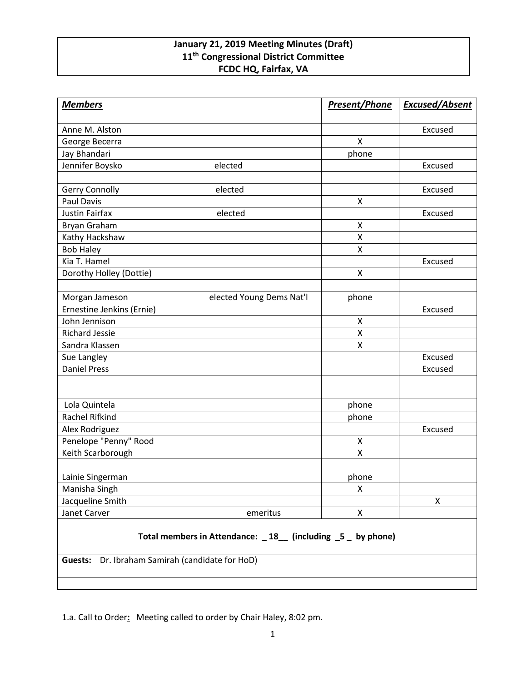## **January 21, 2019 Meeting Minutes (Draft) 11th Congressional District Committee FCDC HQ, Fairfax, VA**

| <b>Members</b>                                                                                                    | <b>Present/Phone</b> | <b>Excused/Absent</b> |
|-------------------------------------------------------------------------------------------------------------------|----------------------|-----------------------|
| Anne M. Alston                                                                                                    |                      | Excused               |
| George Becerra                                                                                                    | X                    |                       |
| Jay Bhandari                                                                                                      | phone                |                       |
| Jennifer Boysko<br>elected                                                                                        |                      | Excused               |
|                                                                                                                   |                      |                       |
| Gerry Connolly<br>elected                                                                                         |                      | Excused               |
| <b>Paul Davis</b>                                                                                                 | $\mathsf{x}$         |                       |
| <b>Justin Fairfax</b><br>elected                                                                                  |                      | Excused               |
| Bryan Graham                                                                                                      | X                    |                       |
| Kathy Hackshaw                                                                                                    | X                    |                       |
| <b>Bob Haley</b>                                                                                                  | $\pmb{\mathsf{X}}$   |                       |
| Kia T. Hamel                                                                                                      |                      | Excused               |
| Dorothy Holley (Dottie)                                                                                           | X                    |                       |
|                                                                                                                   |                      |                       |
| Morgan Jameson<br>elected Young Dems Nat'l                                                                        | phone                |                       |
| Ernestine Jenkins (Ernie)                                                                                         |                      | Excused               |
| John Jennison                                                                                                     | X                    |                       |
| <b>Richard Jessie</b>                                                                                             | X                    |                       |
| Sandra Klassen                                                                                                    | X                    |                       |
| Sue Langley                                                                                                       |                      | Excused               |
| <b>Daniel Press</b>                                                                                               |                      | Excused               |
|                                                                                                                   |                      |                       |
| Lola Quintela                                                                                                     | phone                |                       |
| Rachel Rifkind                                                                                                    | phone                |                       |
| Alex Rodriguez                                                                                                    |                      | Excused               |
| Penelope "Penny" Rood                                                                                             | X                    |                       |
| Keith Scarborough                                                                                                 | Χ                    |                       |
| Lainie Singerman                                                                                                  | phone                |                       |
| Manisha Singh                                                                                                     | X                    |                       |
| Jacqueline Smith                                                                                                  |                      | Χ                     |
| Janet Carver<br>emeritus                                                                                          | $\pmb{\mathsf{X}}$   |                       |
| Total members in Attendance: _18_ (including _5 _ by phone)<br>Dr. Ibraham Samirah (candidate for HoD)<br>Guests: |                      |                       |

1.a. Call to Order**:** Meeting called to order by Chair Haley, 8:02 pm.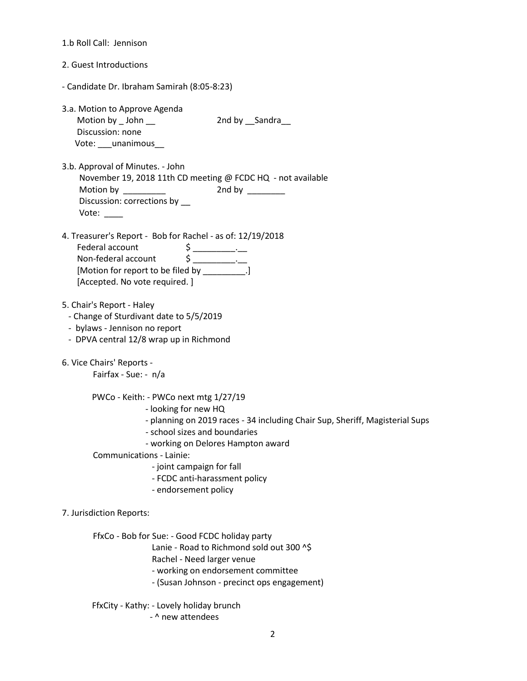| 1.b Roll Call: Jennison                                                                                                                                                                                                                                                                                                                                                                                                                                                                                                                                                                                                                                                                                                 |
|-------------------------------------------------------------------------------------------------------------------------------------------------------------------------------------------------------------------------------------------------------------------------------------------------------------------------------------------------------------------------------------------------------------------------------------------------------------------------------------------------------------------------------------------------------------------------------------------------------------------------------------------------------------------------------------------------------------------------|
| 2. Guest Introductions                                                                                                                                                                                                                                                                                                                                                                                                                                                                                                                                                                                                                                                                                                  |
| - Candidate Dr. Ibraham Samirah (8:05-8:23)                                                                                                                                                                                                                                                                                                                                                                                                                                                                                                                                                                                                                                                                             |
| 3.a. Motion to Approve Agenda<br>Motion by $\_$ John $\_$<br>2nd by Sandra<br>Discussion: none<br>Vote: ____ unanimous___                                                                                                                                                                                                                                                                                                                                                                                                                                                                                                                                                                                               |
| 3.b. Approval of Minutes. - John<br>November 19, 2018 11th CD meeting @ FCDC HQ - not available<br>Discussion: corrections by __<br>Vote:                                                                                                                                                                                                                                                                                                                                                                                                                                                                                                                                                                               |
| 4. Treasurer's Report - Bob for Rachel - as of: 12/19/2018<br>Federal account<br>$\begin{array}{c}\n\mathsf{S} \quad \quad \mathsf{S} \quad \quad \mathsf{S} \quad \quad \mathsf{S} \quad \quad \mathsf{S} \quad \quad \mathsf{S} \quad \quad \mathsf{S} \quad \quad \mathsf{S} \quad \quad \mathsf{S} \quad \quad \mathsf{S} \quad \quad \mathsf{S} \quad \quad \mathsf{S} \quad \quad \mathsf{S} \quad \quad \mathsf{S} \quad \quad \mathsf{S} \quad \quad \mathsf{S} \quad \quad \mathsf{S} \quad \quad \mathsf{S} \quad \quad \mathsf{S} \quad \quad \mathsf{S} \quad \quad \mathsf{S} \quad \quad \math$<br>Non-federal account<br>[Motion for report to be filed by __________.]<br>[Accepted. No vote required.] |
| 5. Chair's Report - Haley<br>- Change of Sturdivant date to 5/5/2019<br>- bylaws - Jennison no report<br>- DPVA central 12/8 wrap up in Richmond                                                                                                                                                                                                                                                                                                                                                                                                                                                                                                                                                                        |
| 6. Vice Chairs' Reports -<br>Fairfax - Sue: - n/a                                                                                                                                                                                                                                                                                                                                                                                                                                                                                                                                                                                                                                                                       |
| PWCo - Keith: - PWCo next mtg 1/27/19<br>- looking for new HQ<br>- planning on 2019 races - 34 including Chair Sup, Sheriff, Magisterial Sups<br>- school sizes and boundaries<br>- working on Delores Hampton award<br>Communications - Lainie:<br>- joint campaign for fall<br>- FCDC anti-harassment policy<br>- endorsement policy                                                                                                                                                                                                                                                                                                                                                                                  |
| 7. Jurisdiction Reports:                                                                                                                                                                                                                                                                                                                                                                                                                                                                                                                                                                                                                                                                                                |
| FfxCo - Bob for Sue: - Good FCDC holiday party<br>Lanie - Road to Richmond sold out 300 ^\$<br>Rachel - Need larger venue<br>- working on endorsement committee<br>- (Susan Johnson - precinct ops engagement)                                                                                                                                                                                                                                                                                                                                                                                                                                                                                                          |
| FfxCity - Kathy: - Lovely holiday brunch<br>- ^ new attendees                                                                                                                                                                                                                                                                                                                                                                                                                                                                                                                                                                                                                                                           |